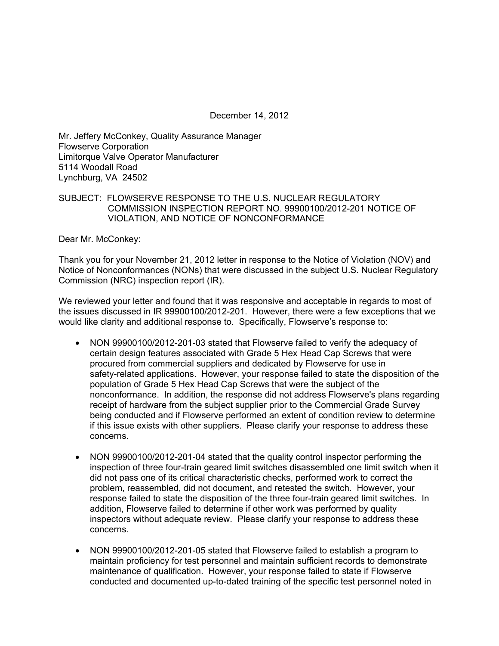December 14, 2012

Mr. Jeffery McConkey, Quality Assurance Manager Flowserve Corporation Limitorque Valve Operator Manufacturer 5114 Woodall Road Lynchburg, VA 24502

## SUBJECT: FLOWSERVE RESPONSE TO THE U.S. NUCLEAR REGULATORY COMMISSION INSPECTION REPORT NO. 99900100/2012-201 NOTICE OF VIOLATION, AND NOTICE OF NONCONFORMANCE

Dear Mr. McConkey:

Thank you for your November 21, 2012 letter in response to the Notice of Violation (NOV) and Notice of Nonconformances (NONs) that were discussed in the subject U.S. Nuclear Regulatory Commission (NRC) inspection report (IR).

We reviewed your letter and found that it was responsive and acceptable in regards to most of the issues discussed in IR 99900100/2012-201. However, there were a few exceptions that we would like clarity and additional response to. Specifically, Flowserve's response to:

- NON 99900100/2012-201-03 stated that Flowserve failed to verify the adequacy of certain design features associated with Grade 5 Hex Head Cap Screws that were procured from commercial suppliers and dedicated by Flowserve for use in safety-related applications. However, your response failed to state the disposition of the population of Grade 5 Hex Head Cap Screws that were the subject of the nonconformance. In addition, the response did not address Flowserve's plans regarding receipt of hardware from the subject supplier prior to the Commercial Grade Survey being conducted and if Flowserve performed an extent of condition review to determine if this issue exists with other suppliers. Please clarify your response to address these concerns.
- NON 99900100/2012-201-04 stated that the quality control inspector performing the inspection of three four-train geared limit switches disassembled one limit switch when it did not pass one of its critical characteristic checks, performed work to correct the problem, reassembled, did not document, and retested the switch. However, your response failed to state the disposition of the three four-train geared limit switches. In addition, Flowserve failed to determine if other work was performed by quality inspectors without adequate review. Please clarify your response to address these concerns.
- NON 99900100/2012-201-05 stated that Flowserve failed to establish a program to maintain proficiency for test personnel and maintain sufficient records to demonstrate maintenance of qualification. However, your response failed to state if Flowserve conducted and documented up-to-dated training of the specific test personnel noted in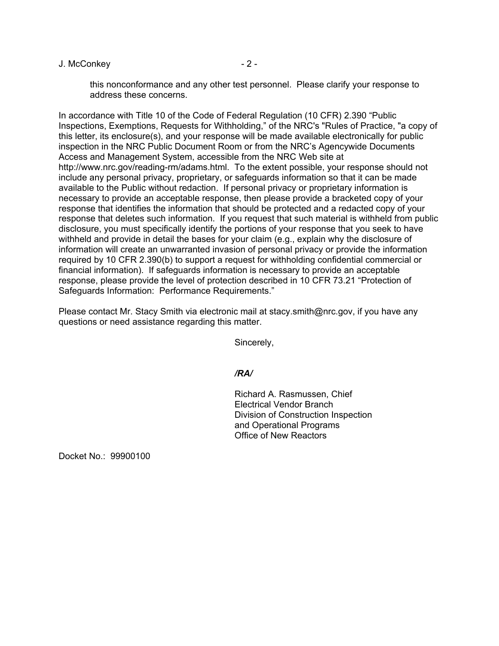#### J. McConkey - 2 -

this nonconformance and any other test personnel. Please clarify your response to address these concerns.

In accordance with Title 10 of the Code of Federal Regulation (10 CFR) 2.390 "Public Inspections, Exemptions, Requests for Withholding," of the NRC's "Rules of Practice, "a copy of this letter, its enclosure(s), and your response will be made available electronically for public inspection in the NRC Public Document Room or from the NRC's Agencywide Documents Access and Management System, accessible from the NRC Web site at http://www.nrc.gov/reading-rm/adams.html. To the extent possible, your response should not include any personal privacy, proprietary, or safeguards information so that it can be made available to the Public without redaction. If personal privacy or proprietary information is necessary to provide an acceptable response, then please provide a bracketed copy of your response that identifies the information that should be protected and a redacted copy of your response that deletes such information. If you request that such material is withheld from public disclosure, you must specifically identify the portions of your response that you seek to have withheld and provide in detail the bases for your claim (e.g., explain why the disclosure of information will create an unwarranted invasion of personal privacy or provide the information required by 10 CFR 2.390(b) to support a request for withholding confidential commercial or financial information). If safeguards information is necessary to provide an acceptable response, please provide the level of protection described in 10 CFR 73.21 "Protection of Safeguards Information: Performance Requirements."

Please contact Mr. Stacy Smith via electronic mail at stacy.smith@nrc.gov, if you have any questions or need assistance regarding this matter.

Sincerely,

## */RA/*

Richard A. Rasmussen, Chief Electrical Vendor Branch Division of Construction Inspection and Operational Programs Office of New Reactors

Docket No.: 99900100